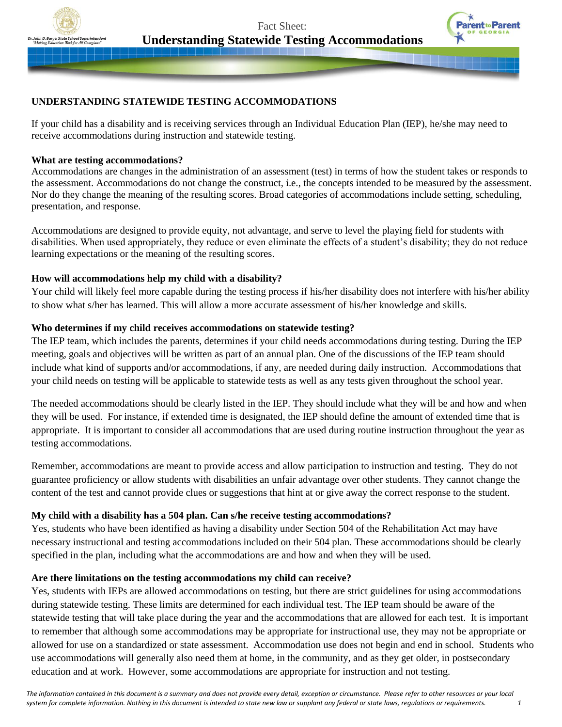

Fact Sheet: **Understanding Statewide Testing Accommodations**



# **UNDERSTANDING STATEWIDE TESTING ACCOMMODATIONS**

If your child has a disability and is receiving services through an Individual Education Plan (IEP), he/she may need to receive accommodations during instruction and statewide testing.

## **What are testing accommodations?**

Accommodations are changes in the administration of an assessment (test) in terms of how the student takes or responds to the assessment. Accommodations do not change the construct, i.e., the concepts intended to be measured by the assessment. Nor do they change the meaning of the resulting scores. Broad categories of accommodations include setting, scheduling, presentation, and response.

Accommodations are designed to provide equity, not advantage, and serve to level the playing field for students with disabilities. When used appropriately, they reduce or even eliminate the effects of a student's disability; they do not reduce learning expectations or the meaning of the resulting scores.

## **How will accommodations help my child with a disability?**

Your child will likely feel more capable during the testing process if his/her disability does not interfere with his/her ability to show what s/her has learned. This will allow a more accurate assessment of his/her knowledge and skills.

## **Who determines if my child receives accommodations on statewide testing?**

The IEP team, which includes the parents, determines if your child needs accommodations during testing. During the IEP meeting, goals and objectives will be written as part of an annual plan. One of the discussions of the IEP team should include what kind of supports and/or accommodations, if any, are needed during daily instruction. Accommodations that your child needs on testing will be applicable to statewide tests as well as any tests given throughout the school year.

The needed accommodations should be clearly listed in the IEP. They should include what they will be and how and when they will be used. For instance, if extended time is designated, the IEP should define the amount of extended time that is appropriate. It is important to consider all accommodations that are used during routine instruction throughout the year as testing accommodations.

Remember, accommodations are meant to provide access and allow participation to instruction and testing. They do not guarantee proficiency or allow students with disabilities an unfair advantage over other students. They cannot change the content of the test and cannot provide clues or suggestions that hint at or give away the correct response to the student.

## **My child with a disability has a 504 plan. Can s/he receive testing accommodations?**

Yes, students who have been identified as having a disability under Section 504 of the Rehabilitation Act may have necessary instructional and testing accommodations included on their 504 plan. These accommodations should be clearly specified in the plan, including what the accommodations are and how and when they will be used.

## **Are there limitations on the testing accommodations my child can receive?**

Yes, students with IEPs are allowed accommodations on testing, but there are strict guidelines for using accommodations during statewide testing. These limits are determined for each individual test. The IEP team should be aware of the statewide testing that will take place during the year and the accommodations that are allowed for each test. It is important to remember that although some accommodations may be appropriate for instructional use, they may not be appropriate or allowed for use on a standardized or state assessment. Accommodation use does not begin and end in school. Students who use accommodations will generally also need them at home, in the community, and as they get older, in postsecondary education and at work. However, some accommodations are appropriate for instruction and not testing.